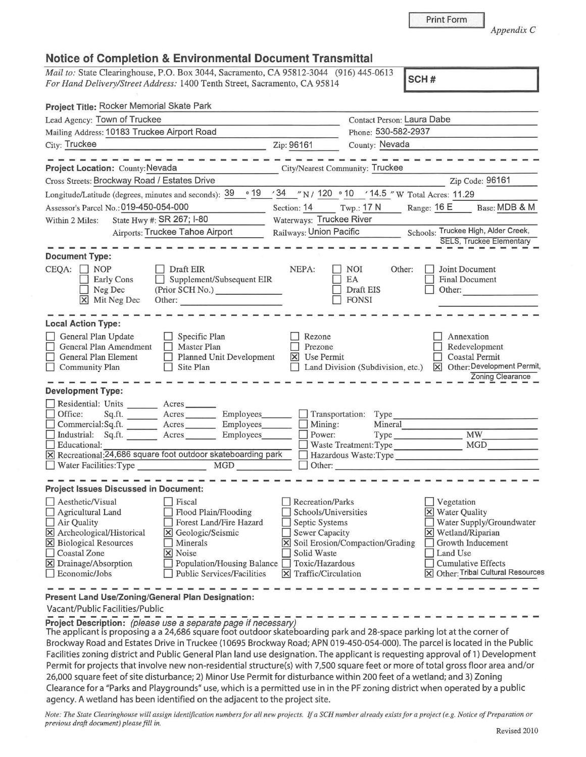*Appendix C* 

|  |  | <b>Notice of Completion &amp; Environmental Document Transmittal</b> |  |  |
|--|--|----------------------------------------------------------------------|--|--|
|--|--|----------------------------------------------------------------------|--|--|

*Mail to:* State Clearinghouse, P.O. Box 3044, Sacramento, CA 95812-3044 (916) 445-0613 *For Hand Delivery/Street Address:* 1400 Tenth Street, Sacramento, CA 95814 **SCH#** 

| Project Title: Rocker Memorial Skate Park                                                                                                                                                                                                                                                                                                                                                                                |                                                                                                                                   |                                                                    |                                                   |                                                                                                                                                                                                                                                       |
|--------------------------------------------------------------------------------------------------------------------------------------------------------------------------------------------------------------------------------------------------------------------------------------------------------------------------------------------------------------------------------------------------------------------------|-----------------------------------------------------------------------------------------------------------------------------------|--------------------------------------------------------------------|---------------------------------------------------|-------------------------------------------------------------------------------------------------------------------------------------------------------------------------------------------------------------------------------------------------------|
| Lead Agency: Town of Truckee                                                                                                                                                                                                                                                                                                                                                                                             |                                                                                                                                   | Contact Person: Laura Dabe                                         |                                                   |                                                                                                                                                                                                                                                       |
| Mailing Address: 10183 Truckee Airport Road                                                                                                                                                                                                                                                                                                                                                                              |                                                                                                                                   | Phone: 530-582-2937                                                |                                                   |                                                                                                                                                                                                                                                       |
| City: Truckee<br><u> 1989 - Johann John Harry Harry Harry Harry Harry Harry Harry Harry Harry Harry Harry Harry Harry Harry Harry</u>                                                                                                                                                                                                                                                                                    | Zip: 96161                                                                                                                        | County: Nevada                                                     |                                                   | $\mathcal{H}^{\mathcal{A}}$ and $\mathcal{H}^{\mathcal{A}}$ are all the set of the set of the set of the set of the set of the set of the set of the set of the set of the set of the set of the set of the set of the set of the set of the set of t |
| Project Location: County: Nevada                                                                                                                                                                                                                                                                                                                                                                                         |                                                                                                                                   | City/Nearest Community: Truckee                                    |                                                   |                                                                                                                                                                                                                                                       |
| Cross Streets: Brockway Road / Estates Drive                                                                                                                                                                                                                                                                                                                                                                             |                                                                                                                                   |                                                                    |                                                   | Zip Code: 96161                                                                                                                                                                                                                                       |
| Longitude/Latitude (degrees, minutes and seconds): 39                                                                                                                                                                                                                                                                                                                                                                    | $\circ$ 19                                                                                                                        | '34 "N / 120 . 10 '14.5" W Total Acres: 11.29                      |                                                   |                                                                                                                                                                                                                                                       |
| Assessor's Parcel No.: 019-450-054-000                                                                                                                                                                                                                                                                                                                                                                                   | Section: 14 Twp.: 17 N                                                                                                            |                                                                    | Range: $16E$                                      | Base: MDB & M                                                                                                                                                                                                                                         |
| State Hwy #: SR 267; I-80<br>Within 2 Miles:                                                                                                                                                                                                                                                                                                                                                                             |                                                                                                                                   | Waterways: Truckee River                                           |                                                   |                                                                                                                                                                                                                                                       |
| Airports: Truckee Tahoe Airport                                                                                                                                                                                                                                                                                                                                                                                          |                                                                                                                                   | Schools: Truckee High, Alder Creek,<br>Railways: Union Pacific     |                                                   |                                                                                                                                                                                                                                                       |
| <b>Document Type:</b><br>Draft EIR<br>CEQA:<br>$\Box$ NOP<br>Supplement/Subsequent EIR<br>Early Cons<br>$\Box$<br>Neg Dec<br>(Prior SCH No.)<br>X Mit Neg Dec<br>Other:                                                                                                                                                                                                                                                  | NEPA:                                                                                                                             | <b>NOI</b><br>Other:<br>EA<br>Draft EIS<br><b>FONSI</b>            |                                                   | <b>SELS, Truckee Elementary</b><br>Joint Document<br><b>Final Document</b><br>Other:                                                                                                                                                                  |
| <b>Local Action Type:</b><br>General Plan Update<br>$\Box$ Specific Plan<br>General Plan Amendment<br>$\Box$ Master Plan<br>General Plan Element<br>$\Box$ Planned Unit Development<br>$\Box$ Site Plan<br>Community Plan                                                                                                                                                                                                | Rezone<br>Prezone<br>X Use Permit                                                                                                 | Land Division (Subdivision, etc.)                                  |                                                   | Annexation<br>Redevelopment<br><b>Coastal Permit</b><br>X Other: Development Permit,<br>Zoning Clearance                                                                                                                                              |
| <b>Development Type:</b><br>Residential: Units _______ Acres ______<br>Sq.ft. ________ Acres ________ Employees ______ _ Transportation: Type ____________________________<br>Office:<br>Commercial:Sq.ft. Acres Employees<br>Industrial: Sq.ft. ________ Acres ________ Employees_______<br>Educational:<br>$\vert$ X Recreational: $\bar{2}4,686$ square foot outdoor skateboarding park<br>Water Facilities: Type MGD | $\Box$ Mining:<br>Power:                                                                                                          | Waste Treatment: Type MGD<br>Hazardous Waste:Type<br>$\Box$ Other: | Mineral                                           | <b>MW</b>                                                                                                                                                                                                                                             |
| <b>Project Issues Discussed in Document:</b><br>Aesthetic/Visual<br>Fiscal                                                                                                                                                                                                                                                                                                                                               | Recreation/Parks                                                                                                                  |                                                                    | Vegetation                                        |                                                                                                                                                                                                                                                       |
| Flood Plain/Flooding<br>Agricultural Land<br>Forest Land/Fire Hazard<br>Air Quality<br>X Archeological/Historical<br>X Geologic/Seismic<br><b>X</b> Biological Resources<br>Minerals<br>Coastal Zone<br>X Noise<br>X Drainage/Absorption<br>Population/Housing Balance<br>Economic/Jobs<br><b>Public Services/Facilities</b><br>Present Land Use/Zoning/General Plan Designation:                                        | Schools/Universities<br>Septic Systems<br><b>Sewer Capacity</b><br>Solid Waste<br>Toxic/Hazardous<br>$\times$ Traffic/Circulation | X Soil Erosion/Compaction/Grading                                  | X Water Quality<br>X Wetland/Riparian<br>Land Use | Water Supply/Groundwater<br>Growth Inducement<br><b>Cumulative Effects</b><br>X Other: Tribal Cultural Resources                                                                                                                                      |
|                                                                                                                                                                                                                                                                                                                                                                                                                          |                                                                                                                                   |                                                                    |                                                   |                                                                                                                                                                                                                                                       |

Vacant/Public Facilities/Public

**Project Description:** (please use a separate page if necessary)

The applicant is proposing a a 24,686 square foot outdoor skateboarding park and 28-space parking lot at the corner of Brockway Road and Estates Drive in Truckee (10695 Brockway Road; APN 019-450-054-000). The parcel is located in the Public Facilities zoning district and Public General Plan land use designation. The applicant is requesting approval of 1) Development Permit for projects that involve new non-residential structure(s) with 7,500 square feet or more of total gross floor area and/or 26,000 square feet of site disturbance; 2) Minor Use Permit for disturbance within 200 feet of a wetland; and 3) Zoning Clearance for a "Parks and Playgrounds" use, which is a permitted use in in the PF zoning district when operated by a public agency. A wetland has been identified on the adjacent to the project site.

*Note: The State Clearinghouse will assign identification numbers for all new projects. If a SCH number already exists for a project (e.g. Notice of Preparation or previous draft document) please fill in.*